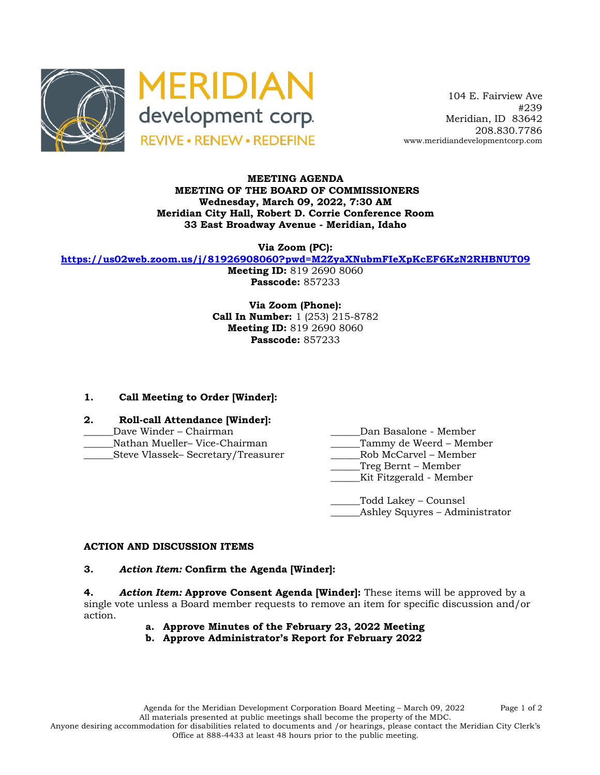



 104 E. Fairview Ave #239 Meridian, ID 83642 208.830.7786 www.meridiandevelopmentcorp.com

#### **MEETING AGENDA MEETING OF THE BOARD OF COMMISSIONERS Wednesday, March 09, 2022, 7:30 AM Meridian City Hall, Robert D. Corrie Conference Room 33 East Broadway Avenue - Meridian, Idaho**

**Via Zoom (PC):**

**https://us02web.zoom.us/j/81926908060?pwd=M2ZyaXNubmFIeXpKcEF6KzN2RHBNUT09**

**Meeting ID:** 819 2690 8060 **Passcode:** 857233

**Via Zoom (Phone): Call In Number:** 1 (253) 215-8782 **Meeting ID:** 819 2690 8060 **Passcode:** 857233

# **1. Call Meeting to Order [Winder]:**

- **2. Roll-call Attendance [Winder]:** \_\_\_\_\_\_Dave Winder – Chairman \_\_\_\_\_\_Dan Basalone - Member Nathan Mueller– Vice-Chairman \_\_\_\_\_\_Steve Vlassek– Secretary/Treasurer \_\_\_\_\_\_Rob McCarvel – Member
	-
	-
	-
	- \_\_\_\_\_\_Treg Bernt Member
	- \_\_\_\_\_\_Kit Fitzgerald Member

\_\_\_\_\_\_Todd Lakey – Counsel \_Ashley Squyres – Administrator

# **ACTION AND DISCUSSION ITEMS**

# **3.** *Action Item:* **Confirm the Agenda [Winder]:**

**4.** *Action Item:* **Approve Consent Agenda [Winder]:** These items will be approved by a single vote unless a Board member requests to remove an item for specific discussion and/or action.

- **a. Approve Minutes of the February 23, 2022 Meeting**
- **b. Approve Administrator's Report for February 2022**